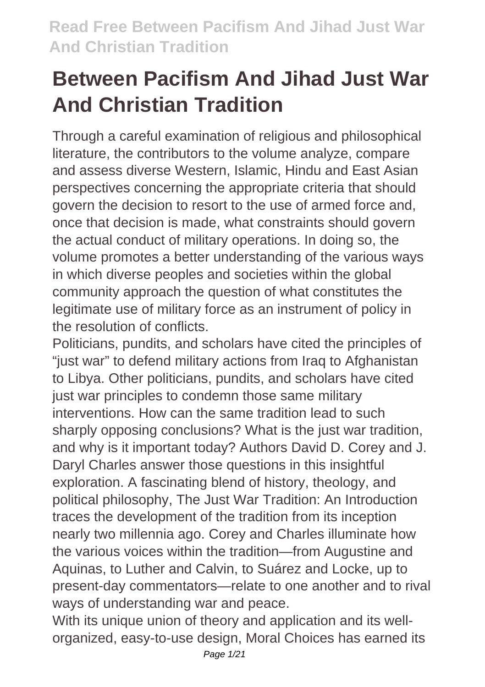Through a careful examination of religious and philosophical literature, the contributors to the volume analyze, compare and assess diverse Western, Islamic, Hindu and East Asian perspectives concerning the appropriate criteria that should govern the decision to resort to the use of armed force and, once that decision is made, what constraints should govern the actual conduct of military operations. In doing so, the volume promotes a better understanding of the various ways in which diverse peoples and societies within the global community approach the question of what constitutes the legitimate use of military force as an instrument of policy in the resolution of conflicts.

Politicians, pundits, and scholars have cited the principles of "just war" to defend military actions from Iraq to Afghanistan to Libya. Other politicians, pundits, and scholars have cited just war principles to condemn those same military interventions. How can the same tradition lead to such sharply opposing conclusions? What is the just war tradition, and why is it important today? Authors David D. Corey and J. Daryl Charles answer those questions in this insightful exploration. A fascinating blend of history, theology, and political philosophy, The Just War Tradition: An Introduction traces the development of the tradition from its inception nearly two millennia ago. Corey and Charles illuminate how the various voices within the tradition—from Augustine and Aquinas, to Luther and Calvin, to Suárez and Locke, up to present-day commentators—relate to one another and to rival ways of understanding war and peace.

With its unique union of theory and application and its wellorganized, easy-to-use design, Moral Choices has earned its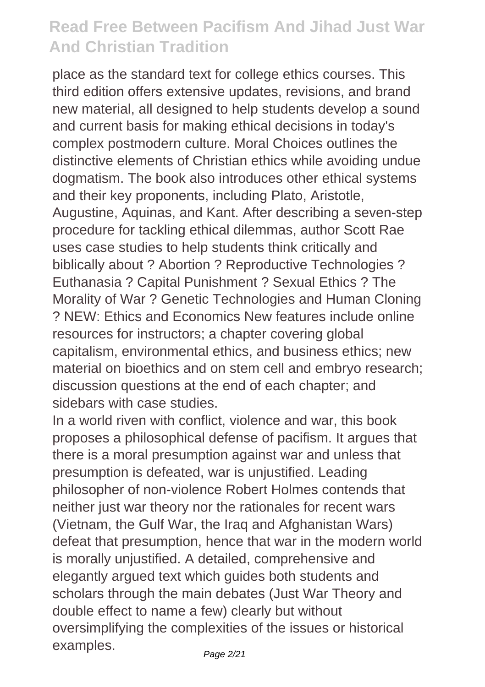place as the standard text for college ethics courses. This third edition offers extensive updates, revisions, and brand new material, all designed to help students develop a sound and current basis for making ethical decisions in today's complex postmodern culture. Moral Choices outlines the distinctive elements of Christian ethics while avoiding undue dogmatism. The book also introduces other ethical systems and their key proponents, including Plato, Aristotle, Augustine, Aquinas, and Kant. After describing a seven-step procedure for tackling ethical dilemmas, author Scott Rae uses case studies to help students think critically and biblically about ? Abortion ? Reproductive Technologies ? Euthanasia ? Capital Punishment ? Sexual Ethics ? The Morality of War ? Genetic Technologies and Human Cloning ? NEW: Ethics and Economics New features include online resources for instructors; a chapter covering global capitalism, environmental ethics, and business ethics; new material on bioethics and on stem cell and embryo research; discussion questions at the end of each chapter; and sidebars with case studies.

In a world riven with conflict, violence and war, this book proposes a philosophical defense of pacifism. It argues that there is a moral presumption against war and unless that presumption is defeated, war is unjustified. Leading philosopher of non-violence Robert Holmes contends that neither just war theory nor the rationales for recent wars (Vietnam, the Gulf War, the Iraq and Afghanistan Wars) defeat that presumption, hence that war in the modern world is morally unjustified. A detailed, comprehensive and elegantly argued text which guides both students and scholars through the main debates (Just War Theory and double effect to name a few) clearly but without oversimplifying the complexities of the issues or historical examples.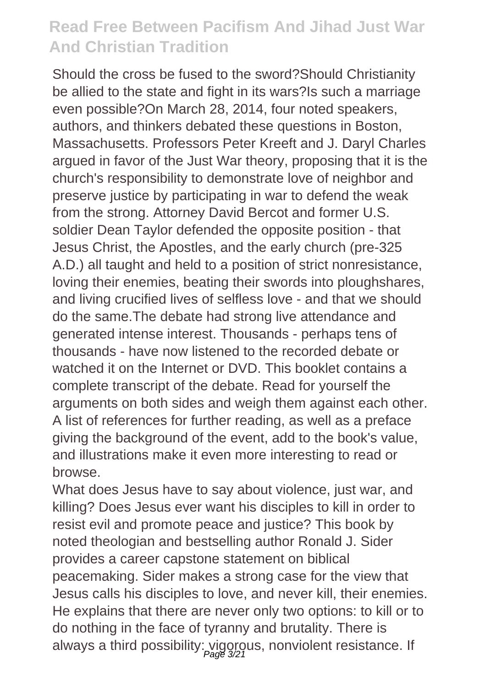Should the cross be fused to the sword?Should Christianity be allied to the state and fight in its wars?Is such a marriage even possible?On March 28, 2014, four noted speakers, authors, and thinkers debated these questions in Boston, Massachusetts. Professors Peter Kreeft and J. Daryl Charles argued in favor of the Just War theory, proposing that it is the church's responsibility to demonstrate love of neighbor and preserve justice by participating in war to defend the weak from the strong. Attorney David Bercot and former U.S. soldier Dean Taylor defended the opposite position - that Jesus Christ, the Apostles, and the early church (pre-325 A.D.) all taught and held to a position of strict nonresistance, loving their enemies, beating their swords into ploughshares, and living crucified lives of selfless love - and that we should do the same.The debate had strong live attendance and generated intense interest. Thousands - perhaps tens of thousands - have now listened to the recorded debate or watched it on the Internet or DVD. This booklet contains a complete transcript of the debate. Read for yourself the arguments on both sides and weigh them against each other. A list of references for further reading, as well as a preface giving the background of the event, add to the book's value, and illustrations make it even more interesting to read or browse.

What does Jesus have to say about violence, just war, and killing? Does Jesus ever want his disciples to kill in order to resist evil and promote peace and justice? This book by noted theologian and bestselling author Ronald J. Sider provides a career capstone statement on biblical peacemaking. Sider makes a strong case for the view that Jesus calls his disciples to love, and never kill, their enemies. He explains that there are never only two options: to kill or to do nothing in the face of tyranny and brutality. There is always a third possibility: vigorous, nonviolent resistance. If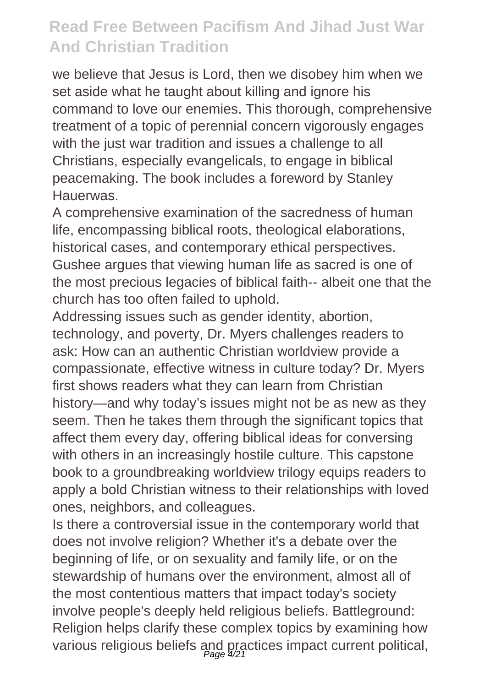we believe that Jesus is Lord, then we disobey him when we set aside what he taught about killing and ignore his command to love our enemies. This thorough, comprehensive treatment of a topic of perennial concern vigorously engages with the just war tradition and issues a challenge to all Christians, especially evangelicals, to engage in biblical peacemaking. The book includes a foreword by Stanley **Hauerwas** 

A comprehensive examination of the sacredness of human life, encompassing biblical roots, theological elaborations, historical cases, and contemporary ethical perspectives. Gushee argues that viewing human life as sacred is one of the most precious legacies of biblical faith-- albeit one that the church has too often failed to uphold.

Addressing issues such as gender identity, abortion, technology, and poverty, Dr. Myers challenges readers to ask: How can an authentic Christian worldview provide a compassionate, effective witness in culture today? Dr. Myers first shows readers what they can learn from Christian history—and why today's issues might not be as new as they seem. Then he takes them through the significant topics that affect them every day, offering biblical ideas for conversing with others in an increasingly hostile culture. This capstone book to a groundbreaking worldview trilogy equips readers to apply a bold Christian witness to their relationships with loved ones, neighbors, and colleagues.

Is there a controversial issue in the contemporary world that does not involve religion? Whether it's a debate over the beginning of life, or on sexuality and family life, or on the stewardship of humans over the environment, almost all of the most contentious matters that impact today's society involve people's deeply held religious beliefs. Battleground: Religion helps clarify these complex topics by examining how various religious beliefs and practices impact current political,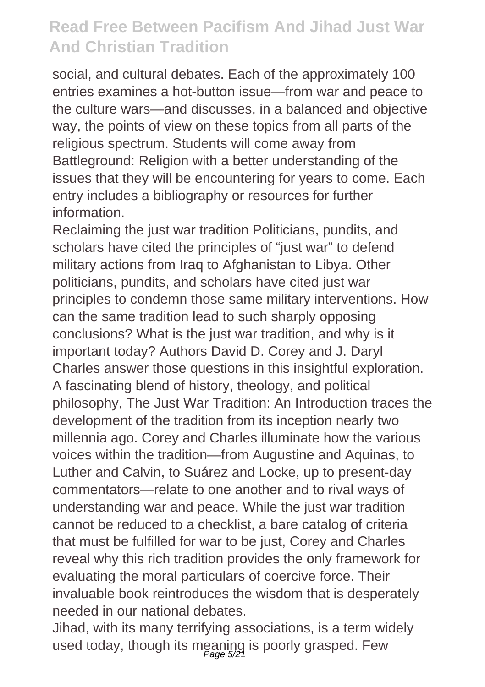social, and cultural debates. Each of the approximately 100 entries examines a hot-button issue—from war and peace to the culture wars—and discusses, in a balanced and objective way, the points of view on these topics from all parts of the religious spectrum. Students will come away from Battleground: Religion with a better understanding of the issues that they will be encountering for years to come. Each entry includes a bibliography or resources for further information.

Reclaiming the just war tradition Politicians, pundits, and scholars have cited the principles of "just war" to defend military actions from Iraq to Afghanistan to Libya. Other politicians, pundits, and scholars have cited just war principles to condemn those same military interventions. How can the same tradition lead to such sharply opposing conclusions? What is the just war tradition, and why is it important today? Authors David D. Corey and J. Daryl Charles answer those questions in this insightful exploration. A fascinating blend of history, theology, and political philosophy, The Just War Tradition: An Introduction traces the development of the tradition from its inception nearly two millennia ago. Corey and Charles illuminate how the various voices within the tradition—from Augustine and Aquinas, to Luther and Calvin, to Suárez and Locke, up to present-day commentators—relate to one another and to rival ways of understanding war and peace. While the just war tradition cannot be reduced to a checklist, a bare catalog of criteria that must be fulfilled for war to be just, Corey and Charles reveal why this rich tradition provides the only framework for evaluating the moral particulars of coercive force. Their invaluable book reintroduces the wisdom that is desperately needed in our national debates.

Jihad, with its many terrifying associations, is a term widely used today, though its meaning is poorly grasped. Few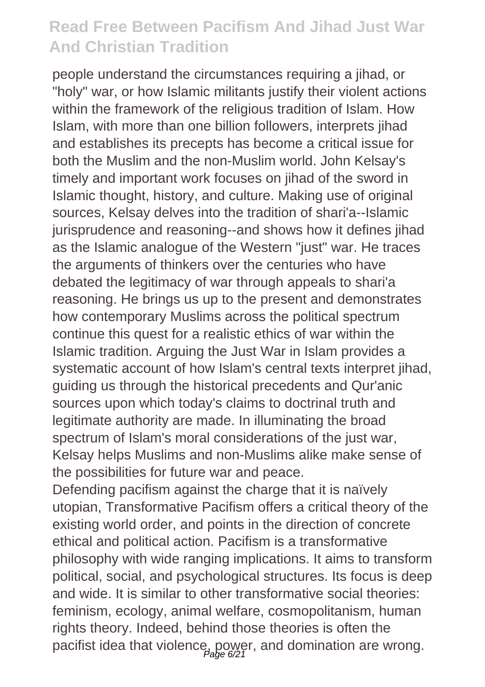people understand the circumstances requiring a jihad, or "holy" war, or how Islamic militants justify their violent actions within the framework of the religious tradition of Islam. How Islam, with more than one billion followers, interprets jihad and establishes its precepts has become a critical issue for both the Muslim and the non-Muslim world. John Kelsay's timely and important work focuses on jihad of the sword in Islamic thought, history, and culture. Making use of original sources, Kelsay delves into the tradition of shari'a--Islamic jurisprudence and reasoning--and shows how it defines jihad as the Islamic analogue of the Western "just" war. He traces the arguments of thinkers over the centuries who have debated the legitimacy of war through appeals to shari'a reasoning. He brings us up to the present and demonstrates how contemporary Muslims across the political spectrum continue this quest for a realistic ethics of war within the Islamic tradition. Arguing the Just War in Islam provides a systematic account of how Islam's central texts interpret jihad, guiding us through the historical precedents and Qur'anic sources upon which today's claims to doctrinal truth and legitimate authority are made. In illuminating the broad spectrum of Islam's moral considerations of the just war, Kelsay helps Muslims and non-Muslims alike make sense of the possibilities for future war and peace.

Defending pacifism against the charge that it is naïvely utopian, Transformative Pacifism offers a critical theory of the existing world order, and points in the direction of concrete ethical and political action. Pacifism is a transformative philosophy with wide ranging implications. It aims to transform political, social, and psychological structures. Its focus is deep and wide. It is similar to other transformative social theories: feminism, ecology, animal welfare, cosmopolitanism, human rights theory. Indeed, behind those theories is often the pacifist idea that violence, power, and domination are wrong.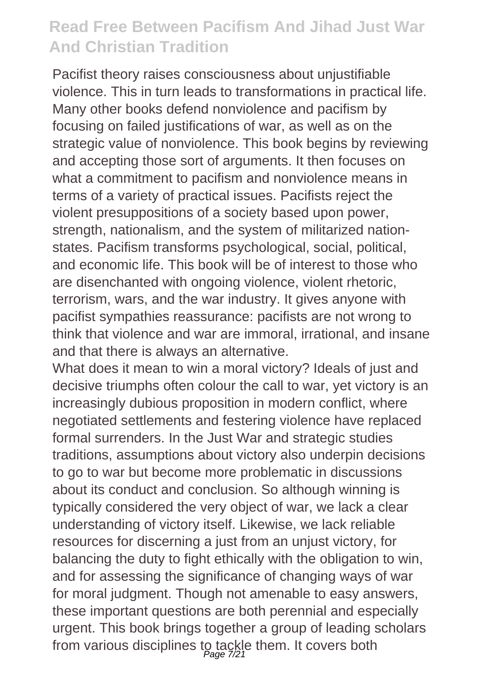Pacifist theory raises consciousness about unjustifiable violence. This in turn leads to transformations in practical life. Many other books defend nonviolence and pacifism by focusing on failed justifications of war, as well as on the strategic value of nonviolence. This book begins by reviewing and accepting those sort of arguments. It then focuses on what a commitment to pacifism and nonviolence means in terms of a variety of practical issues. Pacifists reject the violent presuppositions of a society based upon power, strength, nationalism, and the system of militarized nationstates. Pacifism transforms psychological, social, political, and economic life. This book will be of interest to those who are disenchanted with ongoing violence, violent rhetoric, terrorism, wars, and the war industry. It gives anyone with pacifist sympathies reassurance: pacifists are not wrong to think that violence and war are immoral, irrational, and insane and that there is always an alternative.

What does it mean to win a moral victory? Ideals of just and decisive triumphs often colour the call to war, yet victory is an increasingly dubious proposition in modern conflict, where negotiated settlements and festering violence have replaced formal surrenders. In the Just War and strategic studies traditions, assumptions about victory also underpin decisions to go to war but become more problematic in discussions about its conduct and conclusion. So although winning is typically considered the very object of war, we lack a clear understanding of victory itself. Likewise, we lack reliable resources for discerning a just from an unjust victory, for balancing the duty to fight ethically with the obligation to win, and for assessing the significance of changing ways of war for moral judgment. Though not amenable to easy answers, these important questions are both perennial and especially urgent. This book brings together a group of leading scholars from various disciplines to tackle them. It covers both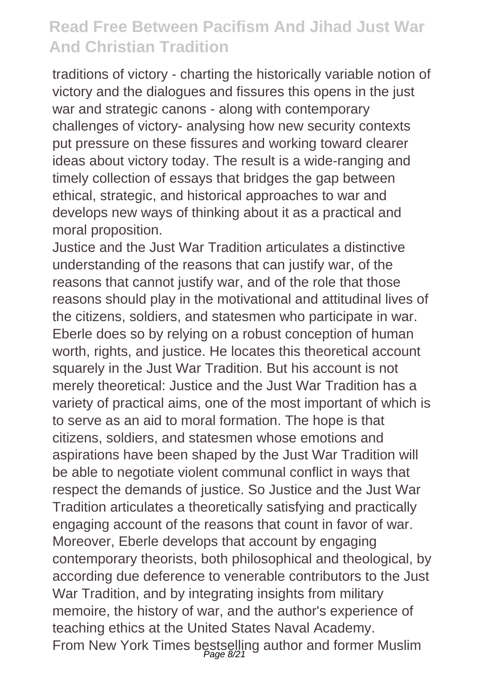traditions of victory - charting the historically variable notion of victory and the dialogues and fissures this opens in the just war and strategic canons - along with contemporary challenges of victory- analysing how new security contexts put pressure on these fissures and working toward clearer ideas about victory today. The result is a wide-ranging and timely collection of essays that bridges the gap between ethical, strategic, and historical approaches to war and develops new ways of thinking about it as a practical and moral proposition.

Justice and the Just War Tradition articulates a distinctive understanding of the reasons that can justify war, of the reasons that cannot justify war, and of the role that those reasons should play in the motivational and attitudinal lives of the citizens, soldiers, and statesmen who participate in war. Eberle does so by relying on a robust conception of human worth, rights, and justice. He locates this theoretical account squarely in the Just War Tradition. But his account is not merely theoretical: Justice and the Just War Tradition has a variety of practical aims, one of the most important of which is to serve as an aid to moral formation. The hope is that citizens, soldiers, and statesmen whose emotions and aspirations have been shaped by the Just War Tradition will be able to negotiate violent communal conflict in ways that respect the demands of justice. So Justice and the Just War Tradition articulates a theoretically satisfying and practically engaging account of the reasons that count in favor of war. Moreover, Eberle develops that account by engaging contemporary theorists, both philosophical and theological, by according due deference to venerable contributors to the Just War Tradition, and by integrating insights from military memoire, the history of war, and the author's experience of teaching ethics at the United States Naval Academy. From New York Times bestselling author and former Muslim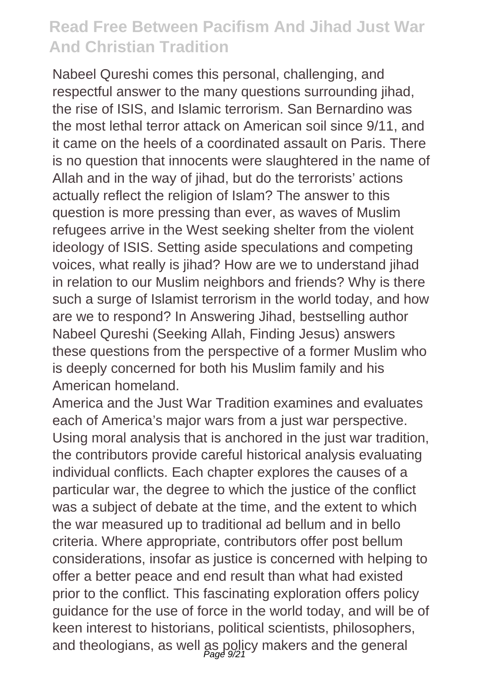Nabeel Qureshi comes this personal, challenging, and respectful answer to the many questions surrounding jihad, the rise of ISIS, and Islamic terrorism. San Bernardino was the most lethal terror attack on American soil since 9/11, and it came on the heels of a coordinated assault on Paris. There is no question that innocents were slaughtered in the name of Allah and in the way of jihad, but do the terrorists' actions actually reflect the religion of Islam? The answer to this question is more pressing than ever, as waves of Muslim refugees arrive in the West seeking shelter from the violent ideology of ISIS. Setting aside speculations and competing voices, what really is jihad? How are we to understand jihad in relation to our Muslim neighbors and friends? Why is there such a surge of Islamist terrorism in the world today, and how are we to respond? In Answering Jihad, bestselling author Nabeel Qureshi (Seeking Allah, Finding Jesus) answers these questions from the perspective of a former Muslim who is deeply concerned for both his Muslim family and his American homeland.

America and the Just War Tradition examines and evaluates each of America's major wars from a just war perspective. Using moral analysis that is anchored in the just war tradition, the contributors provide careful historical analysis evaluating individual conflicts. Each chapter explores the causes of a particular war, the degree to which the justice of the conflict was a subject of debate at the time, and the extent to which the war measured up to traditional ad bellum and in bello criteria. Where appropriate, contributors offer post bellum considerations, insofar as justice is concerned with helping to offer a better peace and end result than what had existed prior to the conflict. This fascinating exploration offers policy guidance for the use of force in the world today, and will be of keen interest to historians, political scientists, philosophers, and theologians, as well as policy makers and the general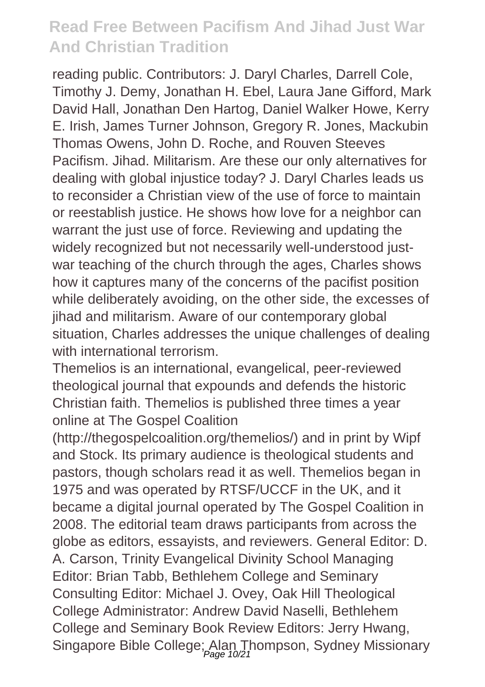reading public. Contributors: J. Daryl Charles, Darrell Cole, Timothy J. Demy, Jonathan H. Ebel, Laura Jane Gifford, Mark David Hall, Jonathan Den Hartog, Daniel Walker Howe, Kerry E. Irish, James Turner Johnson, Gregory R. Jones, Mackubin Thomas Owens, John D. Roche, and Rouven Steeves Pacifism. Jihad. Militarism. Are these our only alternatives for dealing with global injustice today? J. Daryl Charles leads us to reconsider a Christian view of the use of force to maintain or reestablish justice. He shows how love for a neighbor can warrant the just use of force. Reviewing and updating the widely recognized but not necessarily well-understood justwar teaching of the church through the ages, Charles shows how it captures many of the concerns of the pacifist position while deliberately avoiding, on the other side, the excesses of iihad and militarism. Aware of our contemporary global situation. Charles addresses the unique challenges of dealing with international terrorism.

Themelios is an international, evangelical, peer-reviewed theological journal that expounds and defends the historic Christian faith. Themelios is published three times a year online at The Gospel Coalition

(http://thegospelcoalition.org/themelios/) and in print by Wipf and Stock. Its primary audience is theological students and pastors, though scholars read it as well. Themelios began in 1975 and was operated by RTSF/UCCF in the UK, and it became a digital journal operated by The Gospel Coalition in 2008. The editorial team draws participants from across the globe as editors, essayists, and reviewers. General Editor: D. A. Carson, Trinity Evangelical Divinity School Managing Editor: Brian Tabb, Bethlehem College and Seminary Consulting Editor: Michael J. Ovey, Oak Hill Theological College Administrator: Andrew David Naselli, Bethlehem College and Seminary Book Review Editors: Jerry Hwang, Singapore Bible College; Alan Thompson, Sydney Missionary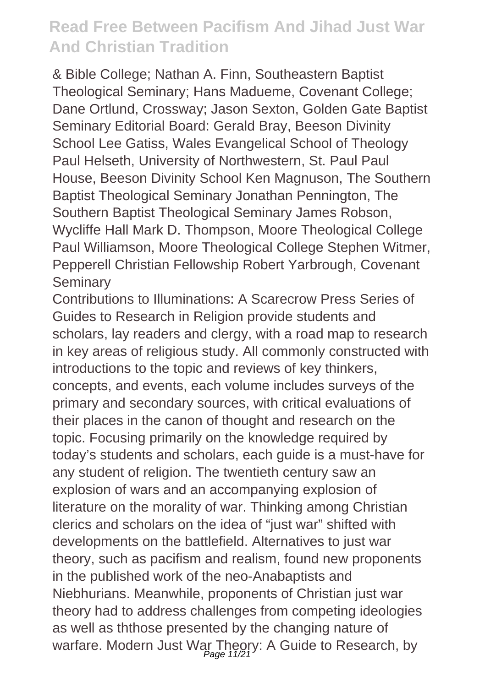& Bible College; Nathan A. Finn, Southeastern Baptist Theological Seminary; Hans Madueme, Covenant College; Dane Ortlund, Crossway; Jason Sexton, Golden Gate Baptist Seminary Editorial Board: Gerald Bray, Beeson Divinity School Lee Gatiss, Wales Evangelical School of Theology Paul Helseth, University of Northwestern, St. Paul Paul House, Beeson Divinity School Ken Magnuson, The Southern Baptist Theological Seminary Jonathan Pennington, The Southern Baptist Theological Seminary James Robson, Wycliffe Hall Mark D. Thompson, Moore Theological College Paul Williamson, Moore Theological College Stephen Witmer, Pepperell Christian Fellowship Robert Yarbrough, Covenant **Seminary** 

Contributions to Illuminations: A Scarecrow Press Series of Guides to Research in Religion provide students and scholars, lay readers and clergy, with a road map to research in key areas of religious study. All commonly constructed with introductions to the topic and reviews of key thinkers, concepts, and events, each volume includes surveys of the primary and secondary sources, with critical evaluations of their places in the canon of thought and research on the topic. Focusing primarily on the knowledge required by today's students and scholars, each guide is a must-have for any student of religion. The twentieth century saw an explosion of wars and an accompanying explosion of literature on the morality of war. Thinking among Christian clerics and scholars on the idea of "just war" shifted with developments on the battlefield. Alternatives to just war theory, such as pacifism and realism, found new proponents in the published work of the neo-Anabaptists and Niebhurians. Meanwhile, proponents of Christian just war theory had to address challenges from competing ideologies as well as ththose presented by the changing nature of warfare. Modern Just War Theory: A Guide to Research, by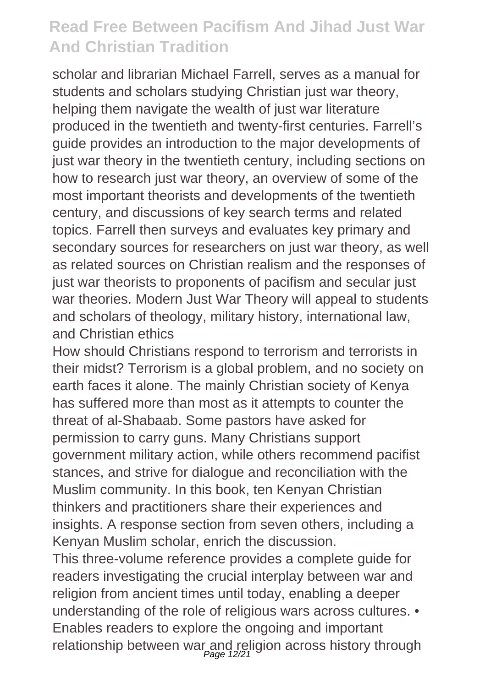scholar and librarian Michael Farrell, serves as a manual for students and scholars studving Christian just war theory, helping them navigate the wealth of just war literature produced in the twentieth and twenty-first centuries. Farrell's guide provides an introduction to the major developments of just war theory in the twentieth century, including sections on how to research just war theory, an overview of some of the most important theorists and developments of the twentieth century, and discussions of key search terms and related topics. Farrell then surveys and evaluates key primary and secondary sources for researchers on just war theory, as well as related sources on Christian realism and the responses of just war theorists to proponents of pacifism and secular just war theories. Modern Just War Theory will appeal to students and scholars of theology, military history, international law, and Christian ethics

How should Christians respond to terrorism and terrorists in their midst? Terrorism is a global problem, and no society on earth faces it alone. The mainly Christian society of Kenya has suffered more than most as it attempts to counter the threat of al-Shabaab. Some pastors have asked for permission to carry guns. Many Christians support government military action, while others recommend pacifist stances, and strive for dialogue and reconciliation with the Muslim community. In this book, ten Kenyan Christian thinkers and practitioners share their experiences and insights. A response section from seven others, including a Kenyan Muslim scholar, enrich the discussion.

This three-volume reference provides a complete guide for readers investigating the crucial interplay between war and religion from ancient times until today, enabling a deeper understanding of the role of religious wars across cultures. • Enables readers to explore the ongoing and important relationship between war and religion across history through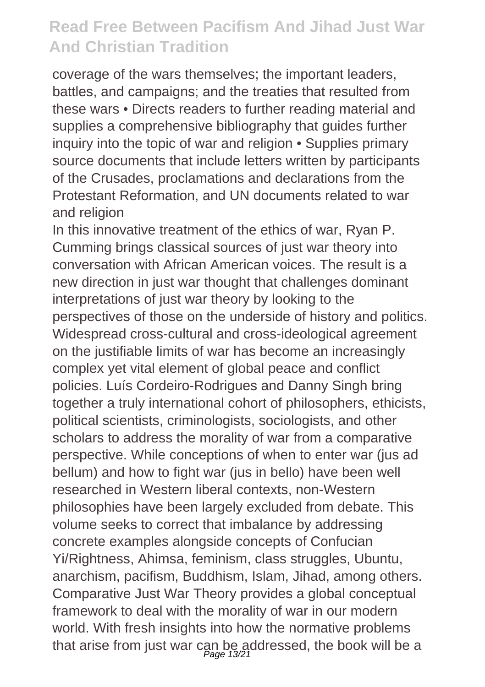coverage of the wars themselves; the important leaders, battles, and campaigns; and the treaties that resulted from these wars • Directs readers to further reading material and supplies a comprehensive bibliography that guides further inquiry into the topic of war and religion • Supplies primary source documents that include letters written by participants of the Crusades, proclamations and declarations from the Protestant Reformation, and UN documents related to war and religion

In this innovative treatment of the ethics of war, Ryan P. Cumming brings classical sources of just war theory into conversation with African American voices. The result is a new direction in just war thought that challenges dominant interpretations of just war theory by looking to the perspectives of those on the underside of history and politics. Widespread cross-cultural and cross-ideological agreement on the justifiable limits of war has become an increasingly complex yet vital element of global peace and conflict policies. Luís Cordeiro-Rodrigues and Danny Singh bring together a truly international cohort of philosophers, ethicists, political scientists, criminologists, sociologists, and other scholars to address the morality of war from a comparative perspective. While conceptions of when to enter war (jus ad bellum) and how to fight war (jus in bello) have been well researched in Western liberal contexts, non-Western philosophies have been largely excluded from debate. This volume seeks to correct that imbalance by addressing concrete examples alongside concepts of Confucian Yi/Rightness, Ahimsa, feminism, class struggles, Ubuntu, anarchism, pacifism, Buddhism, Islam, Jihad, among others. Comparative Just War Theory provides a global conceptual framework to deal with the morality of war in our modern world. With fresh insights into how the normative problems that arise from just war can be addressed, the book will be a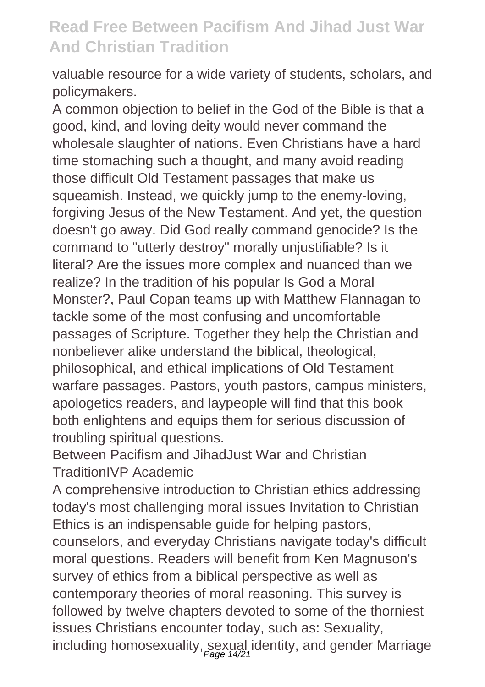valuable resource for a wide variety of students, scholars, and policymakers.

A common objection to belief in the God of the Bible is that a good, kind, and loving deity would never command the wholesale slaughter of nations. Even Christians have a hard time stomaching such a thought, and many avoid reading those difficult Old Testament passages that make us squeamish. Instead, we quickly jump to the enemy-loving. forgiving Jesus of the New Testament. And yet, the question doesn't go away. Did God really command genocide? Is the command to "utterly destroy" morally unjustifiable? Is it literal? Are the issues more complex and nuanced than we realize? In the tradition of his popular Is God a Moral Monster?, Paul Copan teams up with Matthew Flannagan to tackle some of the most confusing and uncomfortable passages of Scripture. Together they help the Christian and nonbeliever alike understand the biblical, theological, philosophical, and ethical implications of Old Testament warfare passages. Pastors, youth pastors, campus ministers, apologetics readers, and laypeople will find that this book both enlightens and equips them for serious discussion of troubling spiritual questions.

Between Pacifism and Jihad Just War and Christian TraditionIVP Academic

A comprehensive introduction to Christian ethics addressing today's most challenging moral issues Invitation to Christian Ethics is an indispensable guide for helping pastors,

counselors, and everyday Christians navigate today's difficult moral questions. Readers will benefit from Ken Magnuson's survey of ethics from a biblical perspective as well as contemporary theories of moral reasoning. This survey is followed by twelve chapters devoted to some of the thorniest issues Christians encounter today, such as: Sexuality, including homosexuality, sexual identity, and gender Marriage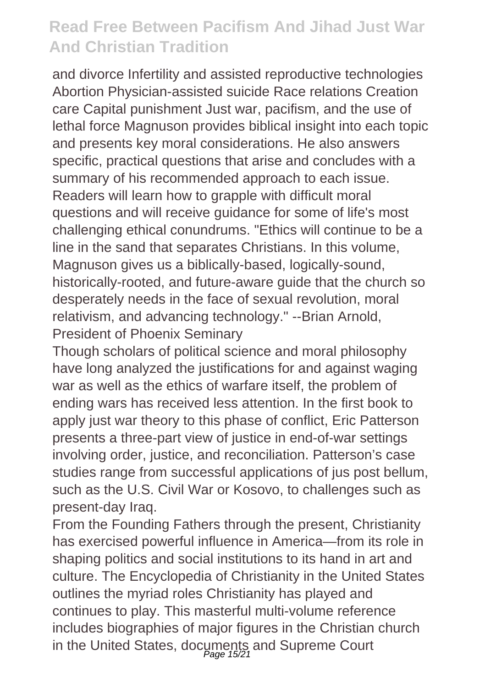and divorce Infertility and assisted reproductive technologies Abortion Physician-assisted suicide Race relations Creation care Capital punishment Just war, pacifism, and the use of lethal force Magnuson provides biblical insight into each topic and presents key moral considerations. He also answers specific, practical questions that arise and concludes with a summary of his recommended approach to each issue. Readers will learn how to grapple with difficult moral questions and will receive guidance for some of life's most challenging ethical conundrums. "Ethics will continue to be a line in the sand that separates Christians. In this volume, Magnuson gives us a biblically-based, logically-sound, historically-rooted, and future-aware guide that the church so desperately needs in the face of sexual revolution, moral relativism, and advancing technology." --Brian Arnold, President of Phoenix Seminary

Though scholars of political science and moral philosophy have long analyzed the justifications for and against waging war as well as the ethics of warfare itself, the problem of ending wars has received less attention. In the first book to apply just war theory to this phase of conflict, Eric Patterson presents a three-part view of justice in end-of-war settings involving order, justice, and reconciliation. Patterson's case studies range from successful applications of jus post bellum, such as the U.S. Civil War or Kosovo, to challenges such as present-day Iraq.

From the Founding Fathers through the present, Christianity has exercised powerful influence in America—from its role in shaping politics and social institutions to its hand in art and culture. The Encyclopedia of Christianity in the United States outlines the myriad roles Christianity has played and continues to play. This masterful multi-volume reference includes biographies of major figures in the Christian church in the United States, documents and Supreme Court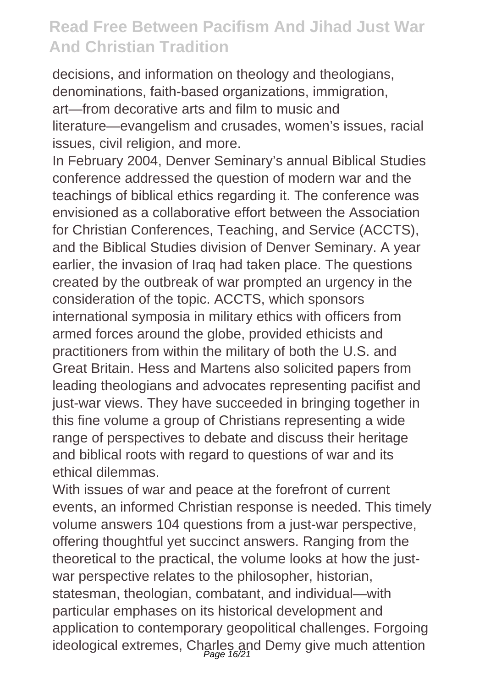decisions, and information on theology and theologians, denominations, faith-based organizations, immigration, art—from decorative arts and film to music and literature—evangelism and crusades, women's issues, racial issues, civil religion, and more.

In February 2004, Denver Seminary's annual Biblical Studies conference addressed the question of modern war and the teachings of biblical ethics regarding it. The conference was envisioned as a collaborative effort between the Association for Christian Conferences, Teaching, and Service (ACCTS), and the Biblical Studies division of Denver Seminary. A year earlier, the invasion of Iraq had taken place. The questions created by the outbreak of war prompted an urgency in the consideration of the topic. ACCTS, which sponsors international symposia in military ethics with officers from armed forces around the globe, provided ethicists and practitioners from within the military of both the U.S. and Great Britain. Hess and Martens also solicited papers from leading theologians and advocates representing pacifist and just-war views. They have succeeded in bringing together in this fine volume a group of Christians representing a wide range of perspectives to debate and discuss their heritage and biblical roots with regard to questions of war and its ethical dilemmas.

With issues of war and peace at the forefront of current events, an informed Christian response is needed. This timely volume answers 104 questions from a just-war perspective, offering thoughtful yet succinct answers. Ranging from the theoretical to the practical, the volume looks at how the justwar perspective relates to the philosopher, historian, statesman, theologian, combatant, and individual—with particular emphases on its historical development and application to contemporary geopolitical challenges. Forgoing ideological extremes, Charles and Demy give much attention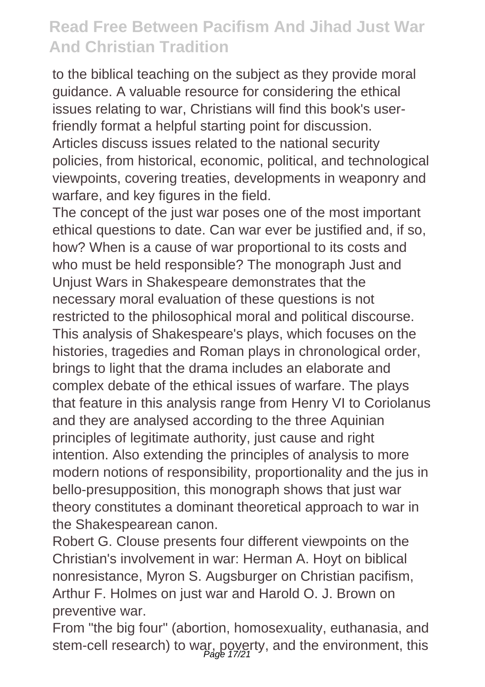to the biblical teaching on the subject as they provide moral guidance. A valuable resource for considering the ethical issues relating to war, Christians will find this book's userfriendly format a helpful starting point for discussion. Articles discuss issues related to the national security policies, from historical, economic, political, and technological viewpoints, covering treaties, developments in weaponry and warfare, and key figures in the field.

The concept of the just war poses one of the most important ethical questions to date. Can war ever be justified and, if so, how? When is a cause of war proportional to its costs and who must be held responsible? The monograph Just and Unjust Wars in Shakespeare demonstrates that the necessary moral evaluation of these questions is not restricted to the philosophical moral and political discourse. This analysis of Shakespeare's plays, which focuses on the histories, tragedies and Roman plays in chronological order, brings to light that the drama includes an elaborate and complex debate of the ethical issues of warfare. The plays that feature in this analysis range from Henry VI to Coriolanus and they are analysed according to the three Aquinian principles of legitimate authority, just cause and right intention. Also extending the principles of analysis to more modern notions of responsibility, proportionality and the jus in bello-presupposition, this monograph shows that just war theory constitutes a dominant theoretical approach to war in the Shakespearean canon.

Robert G. Clouse presents four different viewpoints on the Christian's involvement in war: Herman A. Hoyt on biblical nonresistance, Myron S. Augsburger on Christian pacifism, Arthur F. Holmes on just war and Harold O. J. Brown on preventive war.

From "the big four" (abortion, homosexuality, euthanasia, and stem-cell research) to war, poverty, and the environment, this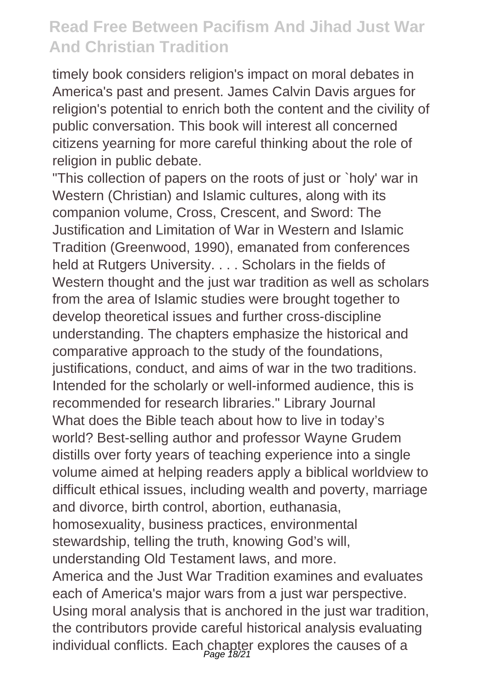timely book considers religion's impact on moral debates in America's past and present. James Calvin Davis argues for religion's potential to enrich both the content and the civility of public conversation. This book will interest all concerned citizens yearning for more careful thinking about the role of religion in public debate.

"This collection of papers on the roots of just or `holy' war in Western (Christian) and Islamic cultures, along with its companion volume, Cross, Crescent, and Sword: The Justification and Limitation of War in Western and Islamic Tradition (Greenwood, 1990), emanated from conferences held at Rutgers University. . . . Scholars in the fields of Western thought and the just war tradition as well as scholars from the area of Islamic studies were brought together to develop theoretical issues and further cross-discipline understanding. The chapters emphasize the historical and comparative approach to the study of the foundations, justifications, conduct, and aims of war in the two traditions. Intended for the scholarly or well-informed audience, this is recommended for research libraries." Library Journal What does the Bible teach about how to live in today's world? Best-selling author and professor Wayne Grudem distills over forty years of teaching experience into a single volume aimed at helping readers apply a biblical worldview to difficult ethical issues, including wealth and poverty, marriage and divorce, birth control, abortion, euthanasia, homosexuality, business practices, environmental stewardship, telling the truth, knowing God's will, understanding Old Testament laws, and more. America and the Just War Tradition examines and evaluates each of America's major wars from a just war perspective. Using moral analysis that is anchored in the just war tradition, the contributors provide careful historical analysis evaluating individual conflicts. Each chapter explores the causes of a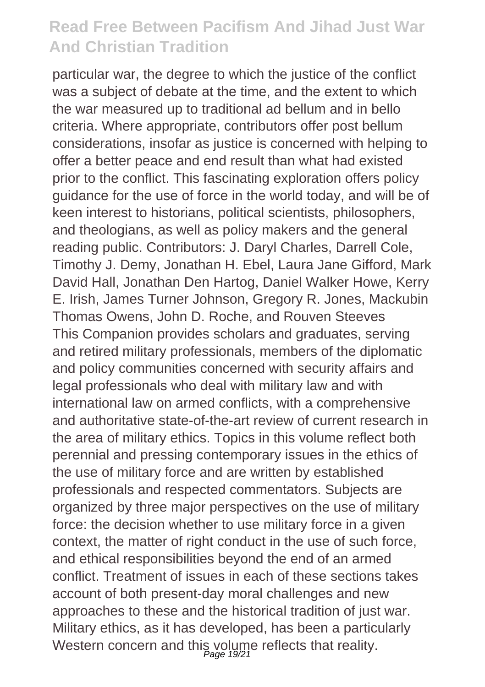particular war, the degree to which the justice of the conflict was a subject of debate at the time, and the extent to which the war measured up to traditional ad bellum and in bello criteria. Where appropriate, contributors offer post bellum considerations, insofar as justice is concerned with helping to offer a better peace and end result than what had existed prior to the conflict. This fascinating exploration offers policy guidance for the use of force in the world today, and will be of keen interest to historians, political scientists, philosophers, and theologians, as well as policy makers and the general reading public. Contributors: J. Daryl Charles, Darrell Cole, Timothy J. Demy, Jonathan H. Ebel, Laura Jane Gifford, Mark David Hall, Jonathan Den Hartog, Daniel Walker Howe, Kerry E. Irish, James Turner Johnson, Gregory R. Jones, Mackubin Thomas Owens, John D. Roche, and Rouven Steeves This Companion provides scholars and graduates, serving and retired military professionals, members of the diplomatic and policy communities concerned with security affairs and legal professionals who deal with military law and with international law on armed conflicts, with a comprehensive and authoritative state-of-the-art review of current research in the area of military ethics. Topics in this volume reflect both perennial and pressing contemporary issues in the ethics of the use of military force and are written by established professionals and respected commentators. Subjects are organized by three major perspectives on the use of military force: the decision whether to use military force in a given context, the matter of right conduct in the use of such force. and ethical responsibilities beyond the end of an armed conflict. Treatment of issues in each of these sections takes account of both present-day moral challenges and new approaches to these and the historical tradition of just war. Military ethics, as it has developed, has been a particularly Western concern and this volume reflects that reality.<br>Page 19/21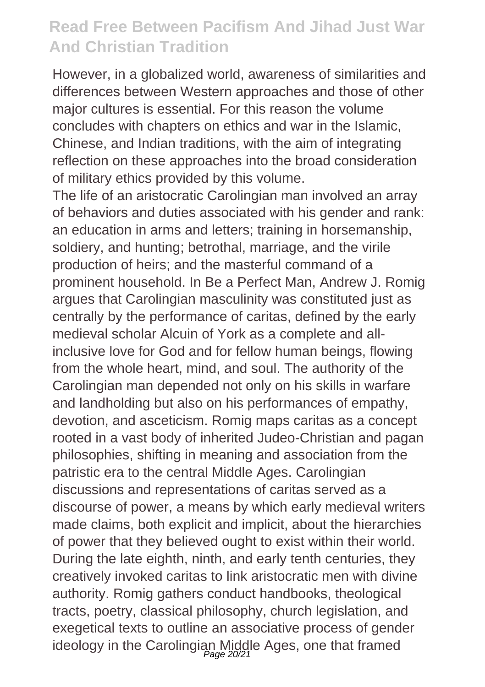However, in a globalized world, awareness of similarities and differences between Western approaches and those of other major cultures is essential. For this reason the volume concludes with chapters on ethics and war in the Islamic, Chinese, and Indian traditions, with the aim of integrating reflection on these approaches into the broad consideration of military ethics provided by this volume.

The life of an aristocratic Carolingian man involved an array of behaviors and duties associated with his gender and rank: an education in arms and letters; training in horsemanship, soldiery, and hunting; betrothal, marriage, and the virile production of heirs; and the masterful command of a prominent household. In Be a Perfect Man, Andrew J. Romig argues that Carolingian masculinity was constituted just as centrally by the performance of caritas, defined by the early medieval scholar Alcuin of York as a complete and allinclusive love for God and for fellow human beings, flowing from the whole heart, mind, and soul. The authority of the Carolingian man depended not only on his skills in warfare and landholding but also on his performances of empathy, devotion, and asceticism. Romig maps caritas as a concept rooted in a vast body of inherited Judeo-Christian and pagan philosophies, shifting in meaning and association from the patristic era to the central Middle Ages. Carolingian discussions and representations of caritas served as a discourse of power, a means by which early medieval writers made claims, both explicit and implicit, about the hierarchies of power that they believed ought to exist within their world. During the late eighth, ninth, and early tenth centuries, they creatively invoked caritas to link aristocratic men with divine authority. Romig gathers conduct handbooks, theological tracts, poetry, classical philosophy, church legislation, and exegetical texts to outline an associative process of gender ideology in the Carolingian Middle Ages, one that framed